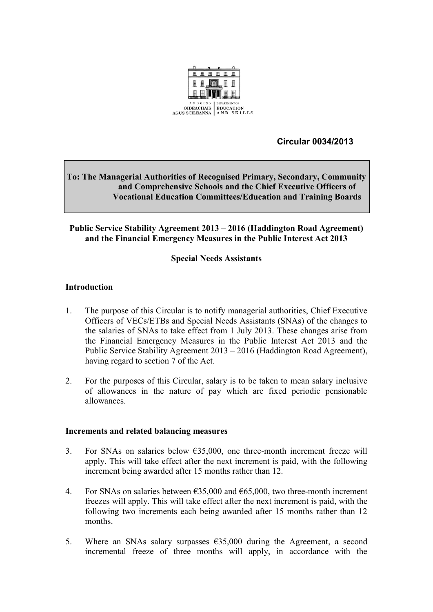

 **Circular 0034/2013**

# **To: The Managerial Authorities of Recognised Primary, Secondary, Community and Comprehensive Schools and the Chief Executive Officers of Vocational Education Committees/Education and Training Boards**

### **Public Service Stability Agreement 2013 – 2016 (Haddington Road Agreement) and the Financial Emergency Measures in the Public Interest Act 2013**

# **Special Needs Assistants**

### **Introduction**

- 1. The purpose of this Circular is to notify managerial authorities, Chief Executive Officers of VECs/ETBs and Special Needs Assistants (SNAs) of the changes to the salaries of SNAs to take effect from 1 July 2013. These changes arise from the Financial Emergency Measures in the Public Interest Act 2013 and the Public Service Stability Agreement 2013 – 2016 (Haddington Road Agreement), having regard to section 7 of the Act.
- 2. For the purposes of this Circular, salary is to be taken to mean salary inclusive of allowances in the nature of pay which are fixed periodic pensionable allowances.

#### **Increments and related balancing measures**

- 3. For SNAs on salaries below  $635,000$ , one three-month increment freeze will apply. This will take effect after the next increment is paid, with the following increment being awarded after 15 months rather than 12.
- 4. For SNAs on salaries between  $\epsilon$ 35,000 and  $\epsilon$ 65,000, two three-month increment freezes will apply. This will take effect after the next increment is paid, with the following two increments each being awarded after 15 months rather than 12 months.
- 5. Where an SNAs salary surpasses  $\epsilon$ 35,000 during the Agreement, a second incremental freeze of three months will apply, in accordance with the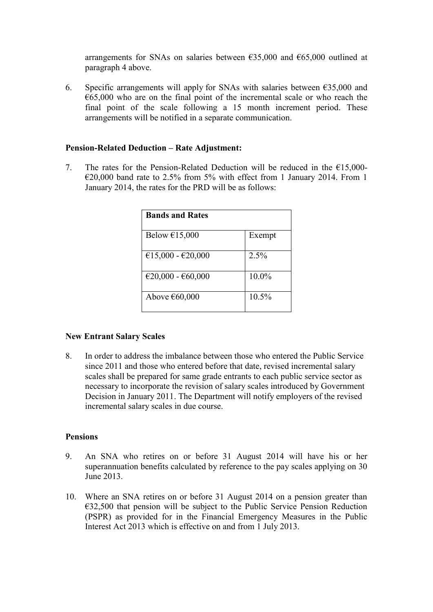arrangements for SNAs on salaries between  $\epsilon$ 35,000 and  $\epsilon$ 65,000 outlined at paragraph 4 above.

6. Specific arrangements will apply for SNAs with salaries between  $\epsilon$ 35,000 and  $665,000$  who are on the final point of the incremental scale or who reach the final point of the scale following a 15 month increment period. These arrangements will be notified in a separate communication.

### **Pension-Related Deduction – Rate Adjustment:**

7. The rates for the Pension-Related Deduction will be reduced in the  $E15,000 \epsilon$ 20,000 band rate to 2.5% from 5% with effect from 1 January 2014. From 1 January 2014, the rates for the PRD will be as follows:

| <b>Bands and Rates</b> |         |
|------------------------|---------|
| Below $£15,000$        | Exempt  |
| €15,000 - €20,000      | $2.5\%$ |
| €20,000 - €60,000      | 10.0%   |
| Above €60,000          | 10.5%   |

#### **New Entrant Salary Scales**

8. In order to address the imbalance between those who entered the Public Service since 2011 and those who entered before that date, revised incremental salary scales shall be prepared for same grade entrants to each public service sector as necessary to incorporate the revision of salary scales introduced by Government Decision in January 2011. The Department will notify employers of the revised incremental salary scales in due course.

#### **Pensions**

- 9. An SNA who retires on or before 31 August 2014 will have his or her superannuation benefits calculated by reference to the pay scales applying on 30 June 2013.
- 10. Where an SNA retires on or before 31 August 2014 on a pension greater than €32,500 that pension will be subject to the Public Service Pension Reduction (PSPR) as provided for in the Financial Emergency Measures in the Public Interest Act 2013 which is effective on and from 1 July 2013.